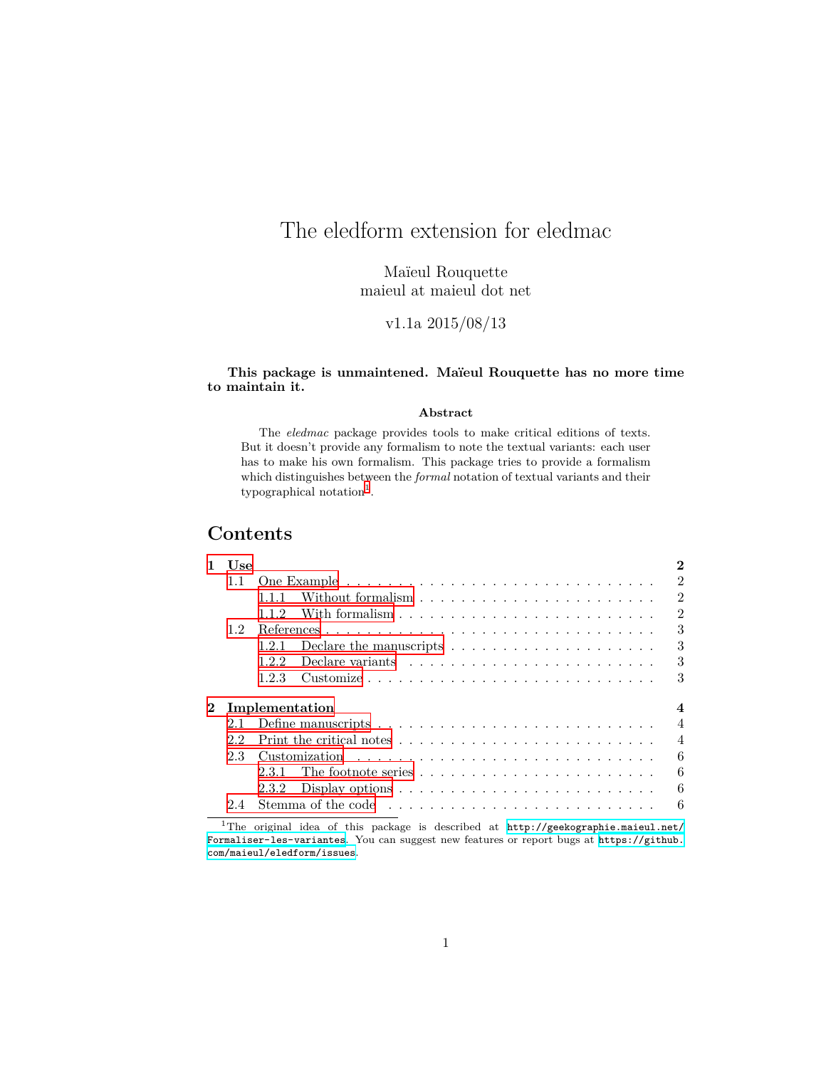# <span id="page-0-1"></span>The eledform extension for eledmac

Maïeul Rouquette maieul at maieul dot net

v1.1a 2015/08/13

#### **This package is unmaintened. Maïeul Rouquette has no more time to maintain it.**

#### **Abstract**

The *eledmac* package provides tools to make critical editions of texts. But it doesn't provide any formalism to note the textual variants: each user has to make his own formalism. This package tries to provide a formalism which distinguishes between the *formal* notation of textual variants and their  $typographical notation<sup>1</sup>$  $typographical notation<sup>1</sup>$  $typographical notation<sup>1</sup>$ .

## **Contents**

| 1                            | Use     |                                                                                  | $\mathbf{2}$   |  |  |
|------------------------------|---------|----------------------------------------------------------------------------------|----------------|--|--|
|                              |         |                                                                                  | $\mathfrak{D}$ |  |  |
|                              |         | Without formalism $\ldots$ , $\ldots$ , $\ldots$ , $\ldots$ , $\ldots$<br>1.1.1  | $\overline{2}$ |  |  |
|                              |         | 112                                                                              | $\mathfrak{D}$ |  |  |
| 1.2 <sub>1</sub>             |         |                                                                                  | 3              |  |  |
|                              |         | 1.2.1<br>Declare the manuscripts $\dots \dots \dots \dots \dots \dots$           | 3              |  |  |
|                              |         | 122                                                                              | 3              |  |  |
|                              |         | 1.2.3                                                                            | 3              |  |  |
| $\bf{2}^-$<br>Implementation |         |                                                                                  |                |  |  |
|                              | $2.1 -$ |                                                                                  | $\overline{4}$ |  |  |
|                              | 22      |                                                                                  | $\overline{4}$ |  |  |
|                              | 23      |                                                                                  | 6              |  |  |
|                              |         | 231                                                                              | 6              |  |  |
|                              |         | Display options $\dots \dots \dots \dots \dots \dots \dots \dots \dots$<br>2.3.2 | 6              |  |  |
|                              | 24      |                                                                                  | 6              |  |  |
|                              |         |                                                                                  |                |  |  |

<span id="page-0-0"></span><sup>1</sup>The original idea of this package is described at [http://geekographie.maieul.net/](http://geekographie.maieul.net/Formaliser-les-variantes) [Formaliser-les-variantes](http://geekographie.maieul.net/Formaliser-les-variantes). You can suggest new features or report bugs at [https://github.](https://github.com/maieul/eledform/issues) [com/maieul/eledform/issues](https://github.com/maieul/eledform/issues).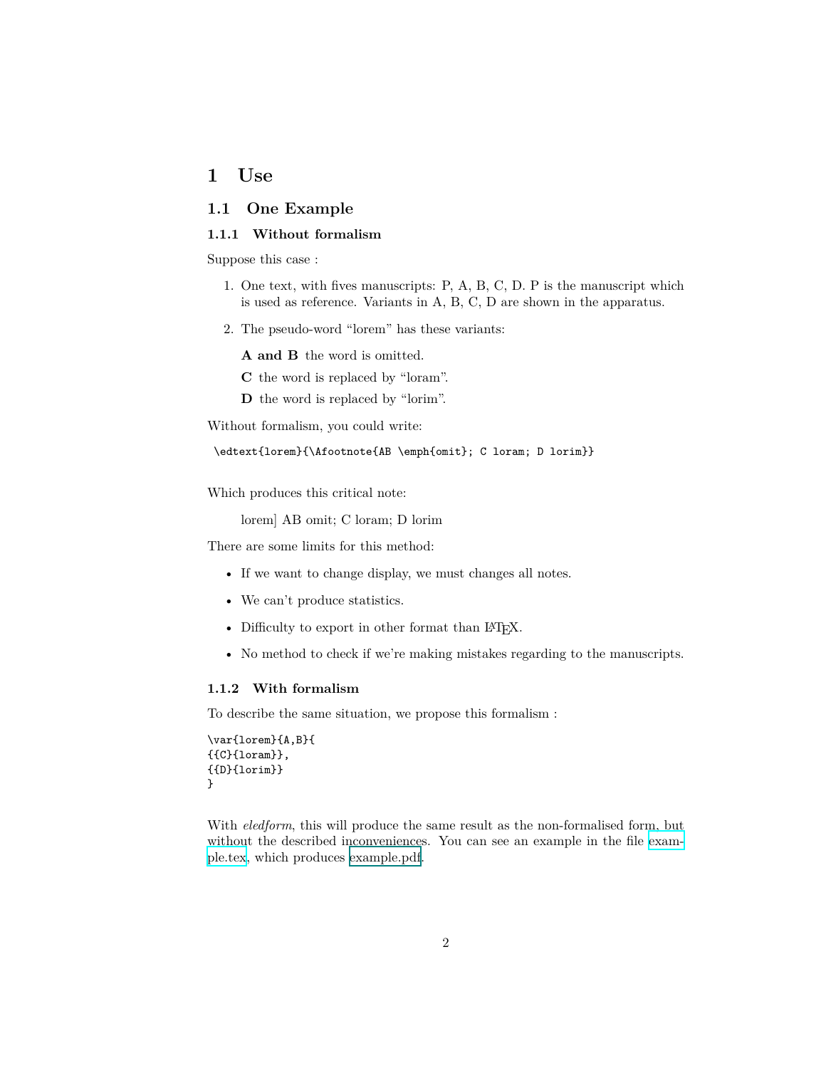## <span id="page-1-0"></span>**1 Use**

## <span id="page-1-1"></span>**1.1 One Example**

#### <span id="page-1-2"></span>**1.1.1 Without formalism**

Suppose this case :

- 1. One text, with fives manuscripts: P, A, B, C, D. P is the manuscript which is used as reference. Variants in A, B, C, D are shown in the apparatus.
- 2. The pseudo-word "lorem" has these variants:

**A and B** the word is omitted.

**C** the word is replaced by "loram".

**D** the word is replaced by "lorim".

Without formalism, you could write:

```
\edtext{lorem}{\Afootnote{AB \emph{omit}; C loram; D lorim}}
```
Which produces this critical note:

lorem] AB omit; C loram; D lorim

There are some limits for this method:

- If we want to change display, we must changes all notes.
- We can't produce statistics.
- Difficulty to export in other format than IATFX.
- No method to check if we're making mistakes regarding to the manuscripts.

### <span id="page-1-3"></span>**1.1.2 With formalism**

To describe the same situation, we propose this formalism :

```
\var{lorem}{A,B}{
{{C}{loram}},
{{D}{lorim}}
}
```
With *eledform*, this will produce the same result as the non-formalised form, but without the described inconveniences. You can see an example in the file [exam](example.tex)[ple.tex,](example.tex) which produces [example.pdf](#page-0-1).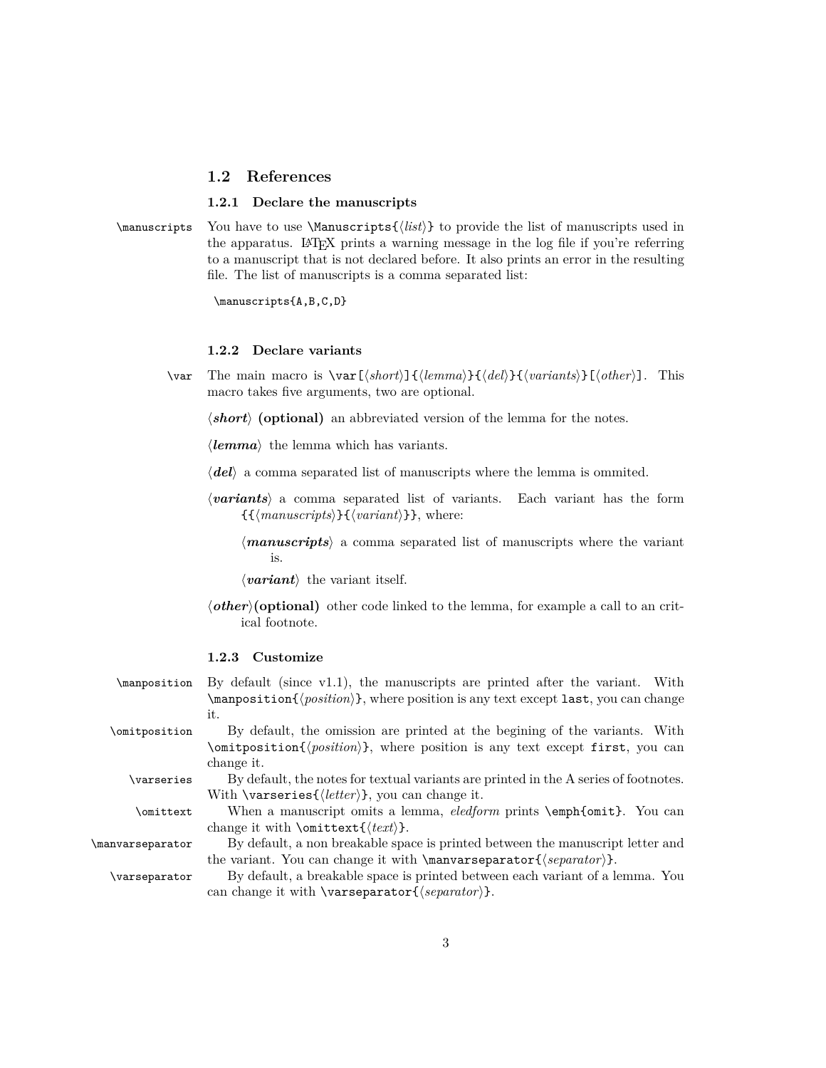### <span id="page-2-0"></span>**1.2 References**

#### <span id="page-2-1"></span>**1.2.1 Declare the manuscripts**

\manuscripts You have to use \Manuscripts{*⟨list⟩*} to provide the list of manuscripts used in the apparatus. LAT<sub>E</sub>X prints a warning message in the log file if you're referring to a manuscript that is not declared before. It also prints an error in the resulting file. The list of manuscripts is a comma separated list:

\manuscripts{A,B,C,D}

#### <span id="page-2-2"></span>**1.2.2 Declare variants**

\var The main macro is \var[*⟨short⟩*]{*⟨lemma⟩*}{*⟨del⟩*}{*⟨variants⟩*}[*⟨other⟩*]. This macro takes five arguments, two are optional.

*⟨short⟩* **(optional)** an abbreviated version of the lemma for the notes.

*⟨lemma⟩* the lemma which has variants.

- *⟨del⟩* a comma separated list of manuscripts where the lemma is ommited.
- *⟨variants⟩* a comma separated list of variants. Each variant has the form {{*⟨manuscripts⟩*}{*⟨variant⟩*}}, where:
	- *⟨manuscripts⟩* a comma separated list of manuscripts where the variant is.
	- *⟨variant⟩* the variant itself.
- *⟨other⟩***(optional)** other code linked to the lemma, for example a call to an critical footnote.

#### <span id="page-2-3"></span>**1.2.3 Customize**

\manposition By default (since v1.1), the manuscripts are printed after the variant. With \manposition{*⟨position⟩*}, where position is any text except last, you can change it.

\omitposition By default, the omission are printed at the begining of the variants. With \omitposition{*⟨position⟩*}, where position is any text except first, you can change it.

\varseries By default, the notes for textual variants are printed in the A series of footnotes.

With \varseries{*⟨letter⟩*}, you can change it.

\omittext When a manuscript omits a lemma, *eledform* prints \emph{omit}. You can change it with \omittext{*⟨text⟩*}.

\manvarseparator By default, a non breakable space is printed between the manuscript letter and the variant. You can change it with \manvarseparator{*⟨separator⟩*}.

\varseparator By default, a breakable space is printed between each variant of a lemma. You can change it with \varseparator{*⟨separator⟩*}.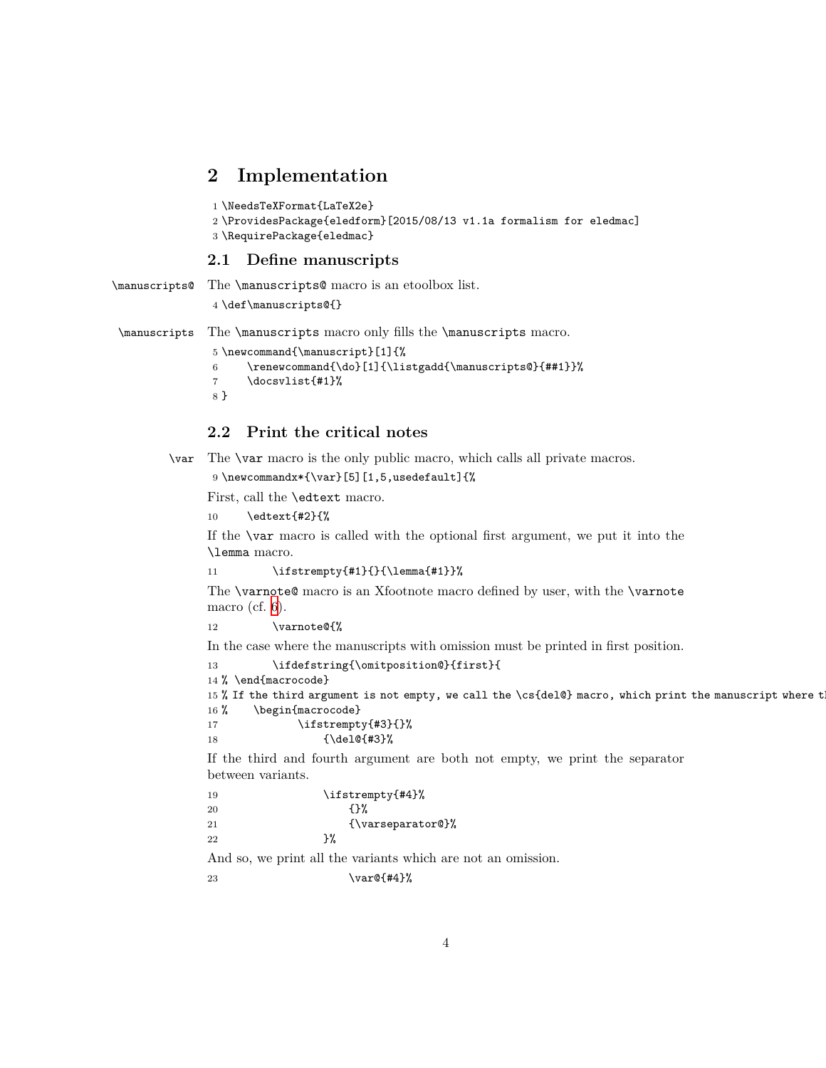## <span id="page-3-0"></span>**2 Implementation**

```
1 \NeedsTeXFormat{LaTeX2e}
```

```
2 \ProvidesPackage{eledform}[2015/08/13 v1.1a formalism for eledmac]
```
3 \RequirePackage{eledmac}

### <span id="page-3-1"></span>**2.1 Define manuscripts**

```
\manuscripts@ The \manuscripts@ macro is an etoolbox list.
```
4 \def\manuscripts@{}

\manuscripts The \manuscripts macro only fills the \manuscripts macro.

```
5 \newcommand{\manuscript}[1]{%
6 \renewcommand{\do}[1]{\listgadd{\manuscripts@}{##1}}%
7 \docsvlist{#1}%
8 }
```
## <span id="page-3-2"></span>**2.2 Print the critical notes**

\var The \var macro is the only public macro, which calls all private macros.

```
9 \newcommandx*{\var}[5][1,5,usedefault]{%
```
First, call the \edtext macro.

10 \edtext{#2}{%

If the \var macro is called with the optional first argument, we put it into the \lemma macro.

```
11 \ifstrempty{#1}{}{\lemma{#1}}%
```
The \varnote@ macro is an Xfootnote macro defined by user, with the \varnote macro (cf. [6](#page-5-1)).

```
12 \varnote@{%
```
In the case where the manuscripts with omission must be printed in first position.

```
13 \ifdefstring{\omitposition@}{first}{
```

```
14 % \end{macrocode}
```

```
15 % If the third argument is not empty, we call the \cs{del@} macro, which print the manuscript where t
16% \begin{macrocode}
```

```
17 \ifstrempty{#3}{}%
18 {\del@{#3}%
```
If the third and fourth argument are both not empty, we print the separator between variants.

| \ifstrempty{#4}% |
|------------------|
| {ን‰              |
| $\{\varphi\}$    |
| ጉ%               |
|                  |

And so, we print all the variants which are not an omission.

```
23 \forall x \in \mathbb{H}
```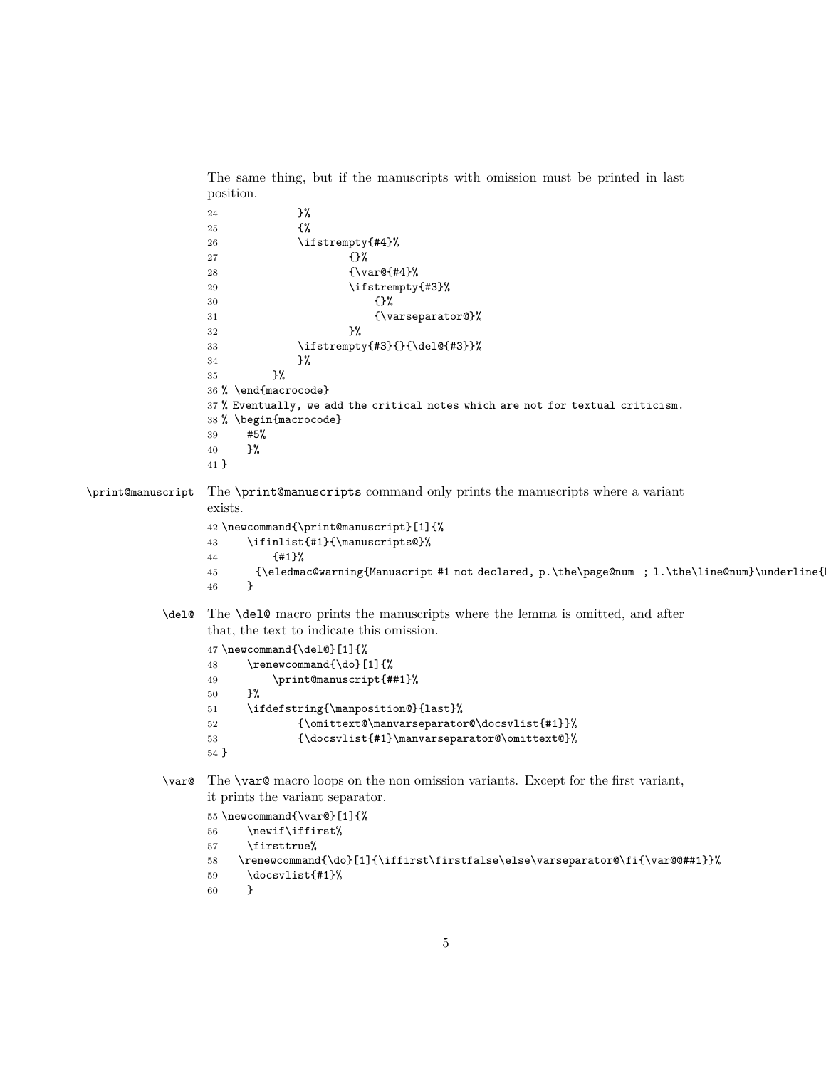```
The same thing, but if the manuscripts with omission must be printed in last
                position.
                24 }%
                25 {%
                26 \ifstrempty{#4}%
                27 {}%
                28 {\var@{#4}%}
                29 \{15\}30 \hspace{1.5cm} \{ \} \%31 {\varseparator@}%
                 32 } }33 \ifstrempty{#3}{}{\del@{#3}}%
                34 } }35 }%
                36 % \end{macrocode}
                37 % Eventually, we add the critical notes which are not for textual criticism.
                38 % \begin{macrocode}
                39 #5%
                40 }%
                41 }
\print@manuscript The \print@manuscripts command only prints the manuscripts where a variant
                exists.
                42 \newcommand{\print@manuscript}[1]{%
                43 \ifinlist{#1}{\manuscripts@}%
                44 {#1}%
                45 {\eledmac@warning{Manuscript #1 not declared, p.\the\page@num ; l.\the\line@num}\underline{Manuscript #1 not declared!}}%
                 46 }
          \del@ The \del@ macro prints the manuscripts where the lemma is omitted, and after
                that, the text to indicate this omission.
                47 \newcommand{\del@}[1]{%
                48 \renewcommand{\do}[1]{%
                49 \print@manuscript{##1}%
                50 }%
                51 \ifdefstring{\manposition@}{last}%
                52 {\omittext@\manvarseparator@\docsvlist{#1}}%
                53 {\docsvlist{#1}\manvarseparator@\omittext@}%
                54 }
          \var@ The \var@ macro loops on the non omission variants. Except for the first variant,
                it prints the variant separator.
                55 \newcommand{\var@}[1]{%
                56 \newif\iffirst%
                57 \firsttrue%
                58 \renewcommand{\do}[1]{\iffirst\firstfalse\else\varseparator@\fi{\var@@##1}}%
                59 \docsvlist{#1}%
```

```
60 }
```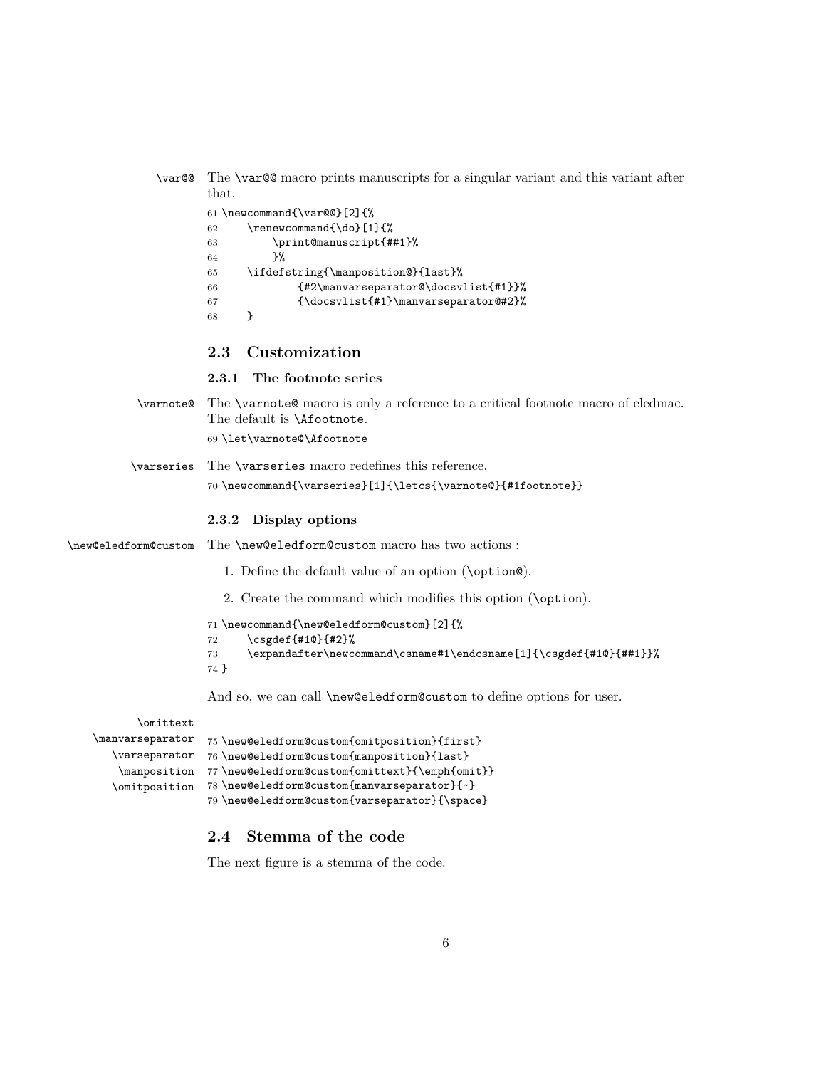<span id="page-5-1"></span><span id="page-5-0"></span>

| \var@@                        | The <b>\var@</b> macro prints manuscripts for a singular variant and this variant after<br>that.                                                                                                                                                             |
|-------------------------------|--------------------------------------------------------------------------------------------------------------------------------------------------------------------------------------------------------------------------------------------------------------|
|                               | 61 \newcommand{\var@@}[2]{%<br>\renewcommand{\do}[1]{%<br>62<br>\print@manuscript{##1}%<br>63<br>ጉ%<br>64<br>\ifdefstring{\manposition@}{last}%<br>65<br>{#2\manvarseparator@\docsvlist{#1}}%<br>66<br>{\docsvlist{#1}\manvarseparator@#2}%<br>67<br>}<br>68 |
|                               | Customization<br>2.3                                                                                                                                                                                                                                         |
|                               | The footnote series<br>2.3.1                                                                                                                                                                                                                                 |
| \varnote@                     | The <b>\varnote@</b> macro is only a reference to a critical footnote macro of eledmac.<br>The default is <i>\Afootnote</i> .<br>69 \let\varnote@\Afootnote                                                                                                  |
|                               |                                                                                                                                                                                                                                                              |
| \varseries                    | The <b>\varseries</b> macro redefines this reference.<br>70\newcommand{\varseries}[1]{\letcs{\varnote@}{#1footnote}}                                                                                                                                         |
|                               | Display options<br>2.3.2                                                                                                                                                                                                                                     |
| \new@eledform@custom          | The <b>\new@eledform@custom</b> macro has two actions :                                                                                                                                                                                                      |
|                               | 1. Define the default value of an option (\option@).                                                                                                                                                                                                         |
|                               | 2. Create the command which modifies this option (\option).                                                                                                                                                                                                  |
|                               | 71 \newcommand{\new@eledform@custom}[2]{%<br>\csgdef{#10}{#2}%<br>72<br>\expandafter\newcommand\csname#1\endcsname[1]{\csgdef{#10}{##1}}%<br>73<br>74 }                                                                                                      |
|                               | And so, we can call \new@eledform@custom to define options for user.                                                                                                                                                                                         |
| \omittext                     |                                                                                                                                                                                                                                                              |
| \manvarseparator              | 75 \new@eledform@custom{omitposition}{first}                                                                                                                                                                                                                 |
| \varseparator                 | 76 \new@eledform@custom{manposition}{last}                                                                                                                                                                                                                   |
| $\mbox{\texttt{m}anposition}$ | 77\new@eledform@custom{omittext}{\emph{omit}}                                                                                                                                                                                                                |
| \omitposition                 | 78 \new@eledform@custom{manvarseparator}{~}                                                                                                                                                                                                                  |

### <span id="page-5-2"></span>79 \new@eledform@custom{varseparator}{\space}

## <span id="page-5-3"></span>**2.4 Stemma of the code**

The next figure is a stemma of the code.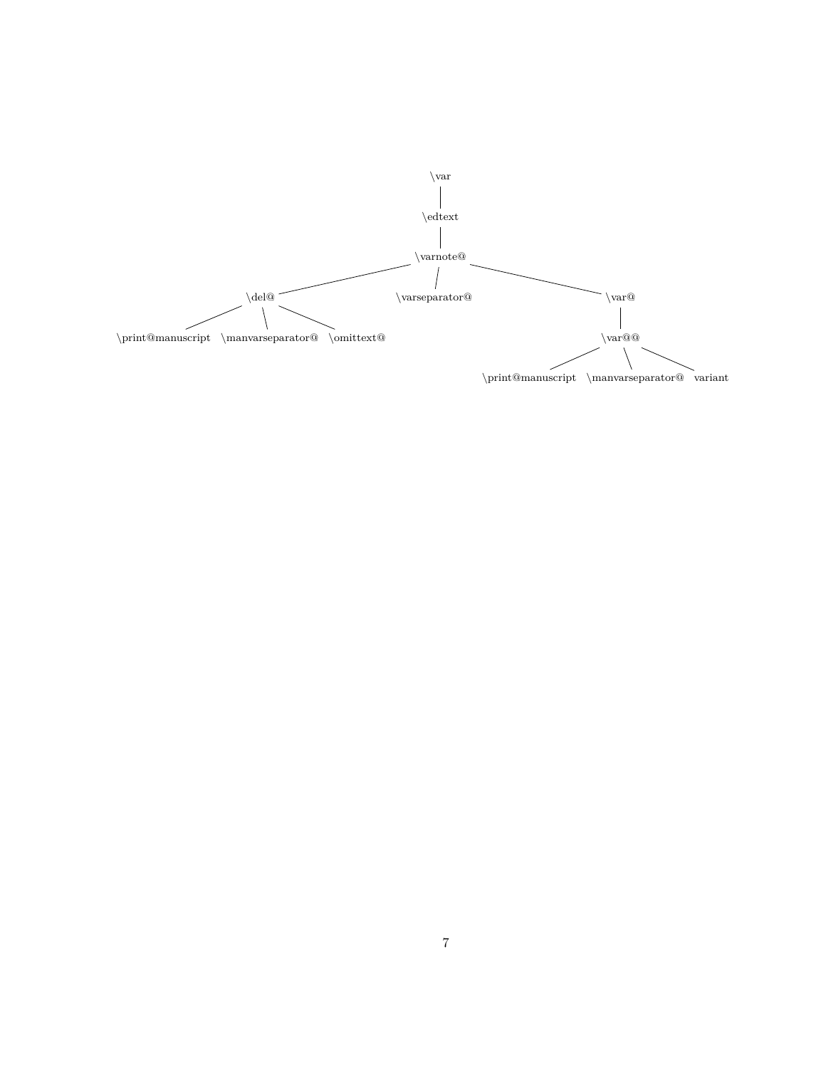